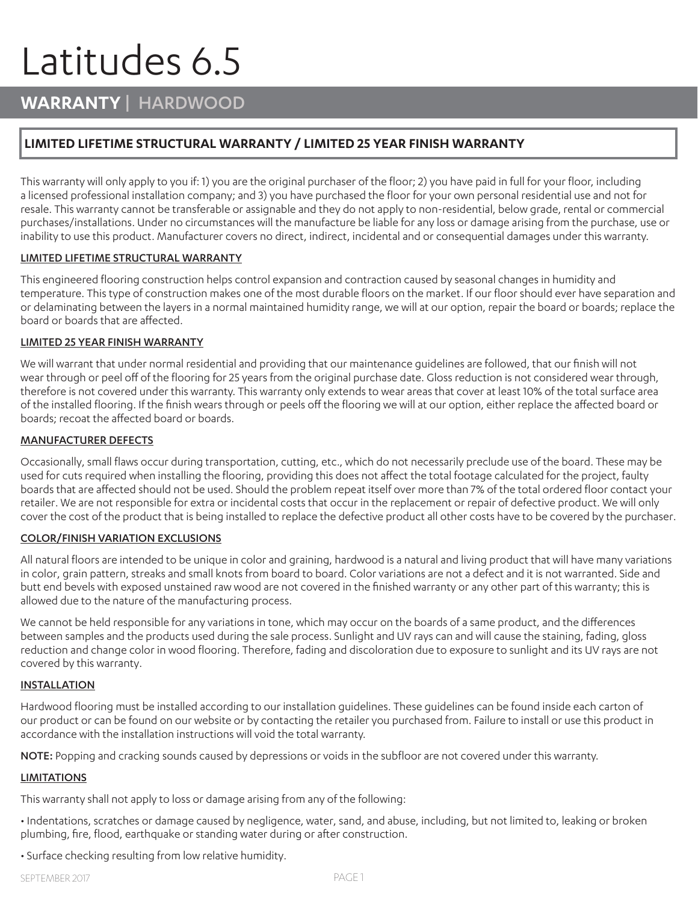# Latitudes 6.5

## **WARRANTY** | HARDWOOD

## **LIMITED LIFETIME STRUCTURAL WARRANTY / LIMITED 25 YEAR FINISH WARRANTY**

This warranty will only apply to you if: 1) you are the original purchaser of the floor; 2) you have paid in full for your floor, including a licensed professional installation company; and 3) you have purchased the floor for your own personal residential use and not for resale. This warranty cannot be transferable or assignable and they do not apply to non-residential, below grade, rental or commercial purchases/installations. Under no circumstances will the manufacture be liable for any loss or damage arising from the purchase, use or inability to use this product. Manufacturer covers no direct, indirect, incidental and or consequential damages under this warranty.

#### LIMITED LIFETIME STRUCTURAL WARRANTY

This engineered flooring construction helps control expansion and contraction caused by seasonal changes in humidity and temperature. This type of construction makes one of the most durable floors on the market. If our floor should ever have separation and or delaminating between the layers in a normal maintained humidity range, we will at our option, repair the board or boards; replace the board or boards that are affected.

#### LIMITED 25 YEAR FINISH WARRANTY

We will warrant that under normal residential and providing that our maintenance guidelines are followed, that our finish will not wear through or peel off of the flooring for 25 years from the original purchase date. Gloss reduction is not considered wear through, therefore is not covered under this warranty. This warranty only extends to wear areas that cover at least 10% of the total surface area of the installed flooring. If the finish wears through or peels off the flooring we will at our option, either replace the affected board or boards; recoat the affected board or boards.

#### MANUFACTURER DEFECTS

Occasionally, small flaws occur during transportation, cutting, etc., which do not necessarily preclude use of the board. These may be used for cuts required when installing the flooring, providing this does not affect the total footage calculated for the project, faulty boards that are affected should not be used. Should the problem repeat itself over more than 7% of the total ordered floor contact your retailer. We are not responsible for extra or incidental costs that occur in the replacement or repair of defective product. We will only cover the cost of the product that is being installed to replace the defective product all other costs have to be covered by the purchaser.

#### COLOR/FINISH VARIATION EXCLUSIONS

All natural floors are intended to be unique in color and graining, hardwood is a natural and living product that will have many variations in color, grain pattern, streaks and small knots from board to board. Color variations are not a defect and it is not warranted. Side and butt end bevels with exposed unstained raw wood are not covered in the finished warranty or any other part of this warranty; this is allowed due to the nature of the manufacturing process.

We cannot be held responsible for any variations in tone, which may occur on the boards of a same product, and the differences between samples and the products used during the sale process. Sunlight and UV rays can and will cause the staining, fading, gloss reduction and change color in wood flooring. Therefore, fading and discoloration due to exposure to sunlight and its UV rays are not covered by this warranty.

#### INSTALLATION

Hardwood flooring must be installed according to our installation guidelines. These guidelines can be found inside each carton of our product or can be found on our website or by contacting the retailer you purchased from. Failure to install or use this product in accordance with the installation instructions will void the total warranty.

NOTE: Popping and cracking sounds caused by depressions or voids in the subfloor are not covered under this warranty.

#### **LIMITATIONS**

This warranty shall not apply to loss or damage arising from any of the following:

• Indentations, scratches or damage caused by negligence, water, sand, and abuse, including, but not limited to, leaking or broken plumbing, fire, flood, earthquake or standing water during or after construction.

• Surface checking resulting from low relative humidity.